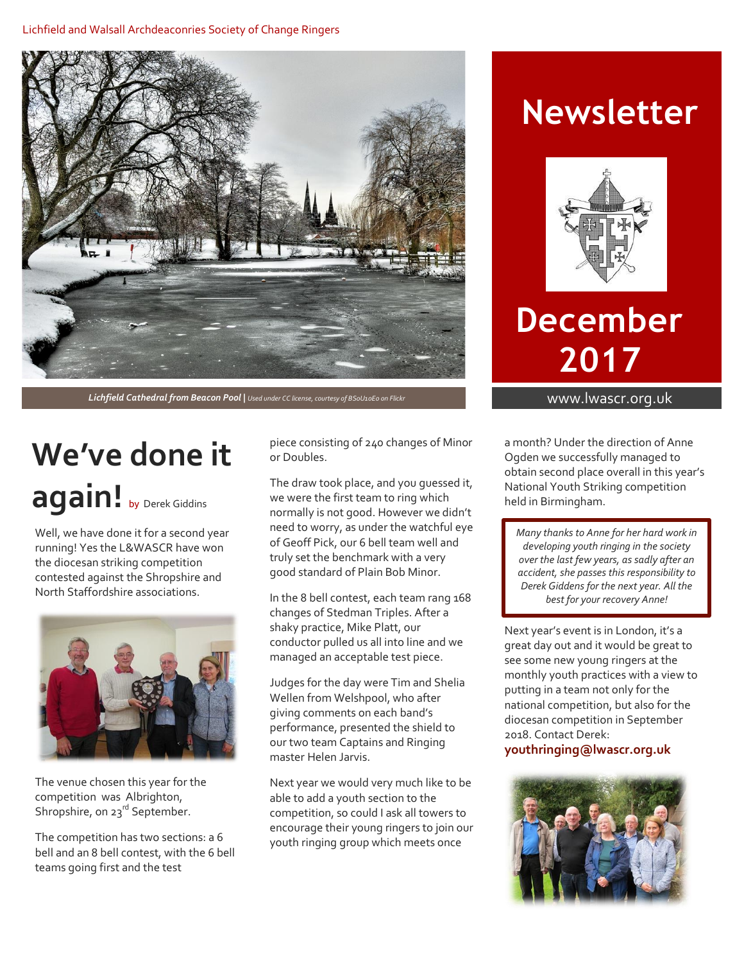#### Lichfield and Walsall Archdeaconries Society of Change Ringers



**Lichfield Cathedral from Beacon Pool** | Used under CC license, courtesy of BS0U10E0 on Flickr **www.lwascr.org.uk** 

# **We've done it**

again! by Derek Giddins

Well, we have done it for a second year running! Yes the L&WASCR have won the diocesan striking competition contested against the Shropshire and North Staffordshire associations.



The venue chosen this year for the competition was Albrighton, Shropshire, on 23rd September.

The competition has two sections: a 6 bell and an 8 bell contest, with the 6 bell teams going first and the test

piece consisting of 240 changes of Minor or Doubles.

The draw took place, and you guessed it, we were the first team to ring which normally is not good. However we didn't need to worry, as under the watchful eye of Geoff Pick, our 6 bell team well and truly set the benchmark with a very good standard of Plain Bob Minor.

In the 8 bell contest, each team rang 168 changes of Stedman Triples. After a shaky practice, Mike Platt, our conductor pulled us all into line and we managed an acceptable test piece.

Judges for the day were Tim and Shelia Wellen from Welshpool, who after giving comments on each band's performance, presented the shield to our two team Captains and Ringing master Helen Jarvis.

Next year we would very much like to be able to add a youth section to the competition, so could I ask all towers to encourage their young ringers to join our youth ringing group which meets once

## **Newsletter**



# **December 2017**

a month? Under the direction of Anne Ogden we successfully managed to obtain second place overall in this year's National Youth Striking competition held in Birmingham.

*Many thanks to Anne for her hard work in developing youth ringing in the society over the last few years, as sadly after an accident, she passes this responsibility to Derek Giddens for the next year. All the best for your recovery Anne!*

Next year's event is in London, it's a great day out and it would be great to see some new young ringers at the monthly youth practices with a view to putting in a team not only for the national competition, but also for the diocesan competition in September 2018. Contact Derek:

#### **youthringing@lwascr.org.uk**

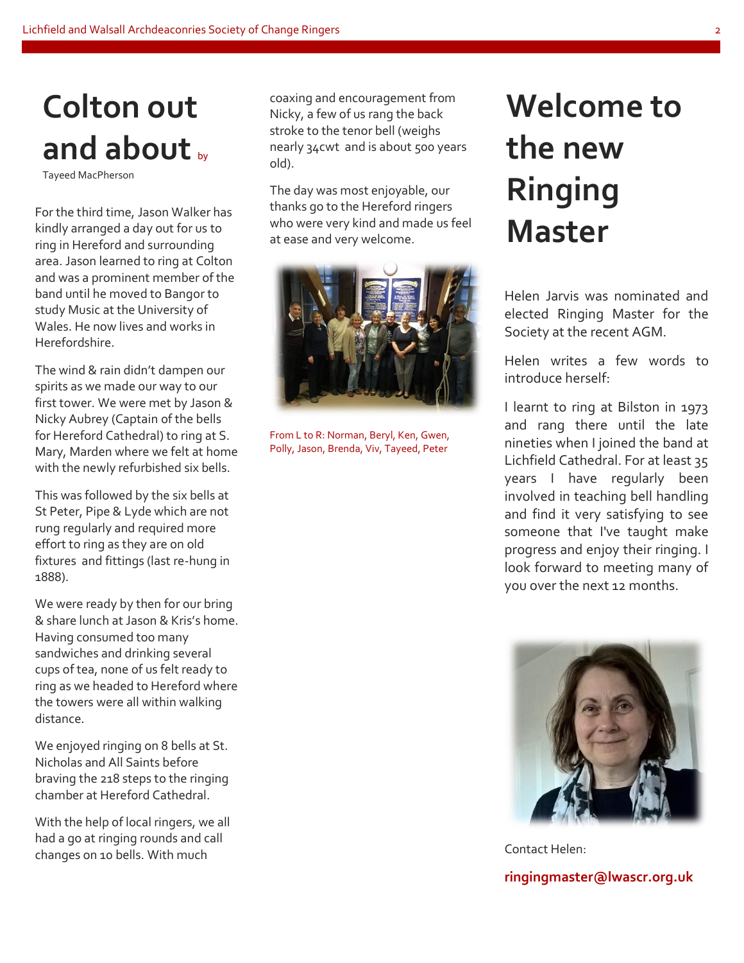# **Colton out and about** by

Tayeed MacPherson

For the third time, Jason Walker has kindly arranged a day out for us to ring in Hereford and surrounding area. Jason learned to ring at Colton and was a prominent member of the band until he moved to Bangor to study Music at the University of Wales. He now lives and works in Herefordshire.

The wind & rain didn't dampen our spirits as we made our way to our first tower. We were met by Jason & Nicky Aubrey (Captain of the bells for Hereford Cathedral) to ring at S. Mary, Marden where we felt at home with the newly refurbished six bells.

This was followed by the six bells at St Peter, Pipe & Lyde which are not rung regularly and required more effort to ring as they are on old fixtures and fittings (last re-hung in 1888).

We were ready by then for our bring & share lunch at Jason & Kris's home. Having consumed too many sandwiches and drinking several cups of tea, none of us felt ready to ring as we headed to Hereford where the towers were all within walking distance.

We enjoyed ringing on 8 bells at St. Nicholas and All Saints before braving the 218 steps to the ringing chamber at Hereford Cathedral.

With the help of local ringers, we all had a go at ringing rounds and call changes on 10 bells. With much

coaxing and encouragement from Nicky, a few of us rang the back stroke to the tenor bell (weighs nearly 34cwt and is about 500 years old).

The day was most enjoyable, our thanks go to the Hereford ringers who were very kind and made us feel at ease and very welcome.



From L to R: Norman, Beryl, Ken, Gwen, Polly, Jason, Brenda, Viv, Tayeed, Peter

# **Welcome to the new Ringing Master**

Helen Jarvis was nominated and elected Ringing Master for the Society at the recent AGM.

Helen writes a few words to introduce herself:

I learnt to ring at Bilston in 1973 and rang there until the late nineties when I joined the band at Lichfield Cathedral. For at least 35 years I have regularly been involved in teaching bell handling and find it very satisfying to see someone that I've taught make progress and enjoy their ringing. I look forward to meeting many of you over the next 12 months.



Contact Helen: **ringingmaster@lwascr.org.uk**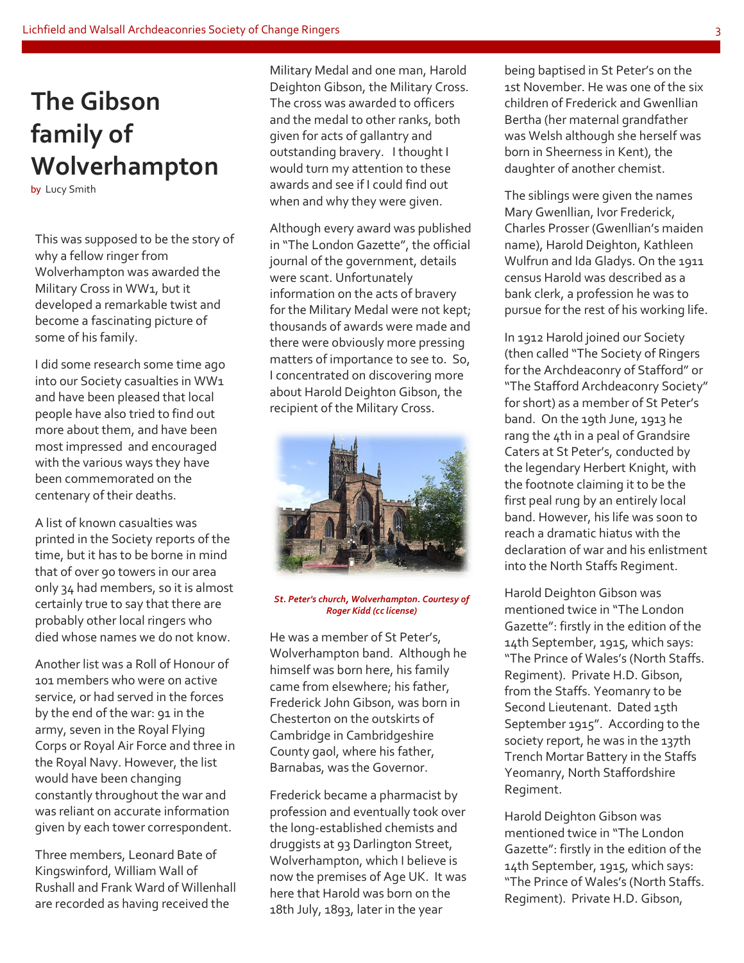### **The Gibson family of Wolverhampton**

by Lucy Smith

This was supposed to be the story of why a fellow ringer from Wolverhampton was awarded the Military Cross in WW1, but it developed a remarkable twist and become a fascinating picture of some of his family.

I did some research some time ago into our Society casualties in WW1 and have been pleased that local people have also tried to find out more about them, and have been most impressed and encouraged with the various ways they have been commemorated on the centenary of their deaths.

A list of known casualties was printed in the Society reports of the time, but it has to be borne in mind that of over 90 towers in our area only 34 had members, so it is almost certainly true to say that there are probably other local ringers who died whose names we do not know.

Another list was a Roll of Honour of 101 members who were on active service, or had served in the forces by the end of the war: 91 in the army, seven in the Royal Flying Corps or Royal Air Force and three in the Royal Navy. However, the list would have been changing constantly throughout the war and was reliant on accurate information given by each tower correspondent.

Three members, Leonard Bate of Kingswinford, William Wall of Rushall and Frank Ward of Willenhall are recorded as having received the

Military Medal and one man, Harold Deighton Gibson, the Military Cross. The cross was awarded to officers and the medal to other ranks, both given for acts of gallantry and outstanding bravery. I thought I would turn my attention to these awards and see if I could find out when and why they were given.

Although every award was published in "The London Gazette", the official journal of the government, details were scant. Unfortunately information on the acts of bravery for the Military Medal were not kept; thousands of awards were made and there were obviously more pressing matters of importance to see to. So, I concentrated on discovering more about Harold Deighton Gibson, the recipient of the Military Cross.



*St. Peter's church, Wolverhampton. Courtesy of Roger Kidd (cc license)*

He was a member of St Peter's, Wolverhampton band. Although he himself was born here, his family came from elsewhere; his father, Frederick John Gibson, was born in Chesterton on the outskirts of Cambridge in Cambridgeshire County gaol, where his father, Barnabas, was the Governor.

Frederick became a pharmacist by profession and eventually took over the long-established chemists and druggists at 93 Darlington Street, Wolverhampton, which I believe is now the premises of Age UK. It was here that Harold was born on the 18th July, 1893, later in the year

being baptised in St Peter's on the 1st November. He was one of the six children of Frederick and Gwenllian Bertha (her maternal grandfather was Welsh although she herself was born in Sheerness in Kent), the daughter of another chemist.

The siblings were given the names Mary Gwenllian, Ivor Frederick, Charles Prosser (Gwenllian's maiden name), Harold Deighton, Kathleen Wulfrun and Ida Gladys. On the 1911 census Harold was described as a bank clerk, a profession he was to pursue for the rest of his working life.

In 1912 Harold joined our Society (then called "The Society of Ringers for the Archdeaconry of Stafford" or "The Stafford Archdeaconry Society" for short) as a member of St Peter's band. On the 19th June, 1913 he rang the 4th in a peal of Grandsire Caters at St Peter's, conducted by the legendary Herbert Knight, with the footnote claiming it to be the first peal rung by an entirely local band. However, his life was soon to reach a dramatic hiatus with the declaration of war and his enlistment into the North Staffs Regiment.

Harold Deighton Gibson was mentioned twice in "The London Gazette": firstly in the edition of the 14th September, 1915, which says: "The Prince of Wales's (North Staffs. Regiment). Private H.D. Gibson, from the Staffs. Yeomanry to be Second Lieutenant. Dated 15th September 1915". According to the society report, he was in the 137th Trench Mortar Battery in the Staffs Yeomanry, North Staffordshire Regiment.

Harold Deighton Gibson was mentioned twice in "The London Gazette": firstly in the edition of the 14th September, 1915, which says: "The Prince of Wales's (North Staffs. Regiment). Private H.D. Gibson,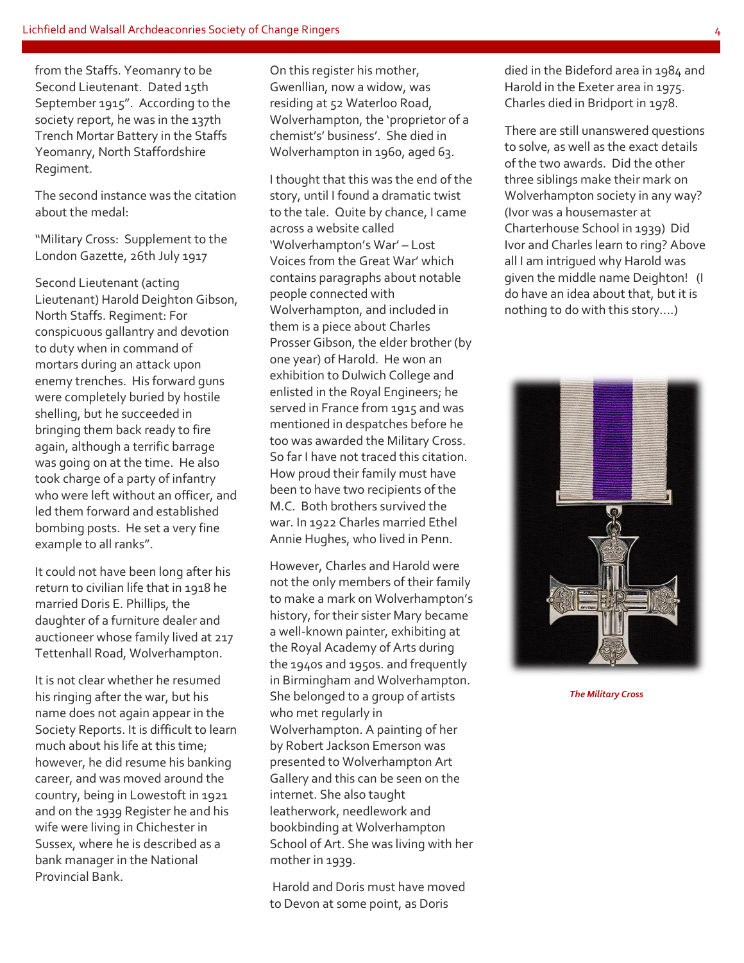from the Staffs. Yeomanry to be Second Lieutenant. Dated 15th September 1915". According to the society report, he was in the 137th Trench Mortar Battery in the Staffs Yeomanry, North Staffordshire Regiment.

The second instance was the citation about the medal:

"Military Cross: Supplement to the London Gazette, 26th July 1917

Second Lieutenant (acting Lieutenant) Harold Deighton Gibson, North Staffs. Regiment: For conspicuous gallantry and devotion to duty when in command of mortars during an attack upon enemy trenches. His forward guns were completely buried by hostile shelling, but he succeeded in bringing them back ready to fire again, although a terrific barrage was going on at the time. He also took charge of a party of infantry who were left without an officer, and led them forward and established bombing posts. He set a very fine example to all ranks".

It could not have been long after his return to civilian life that in 1918 he married Doris E. Phillips, the daughter of a furniture dealer and auctioneer whose family lived at 217 Tettenhall Road, Wolverhampton.

It is not clear whether he resumed his ringing after the war, but his name does not again appear in the Society Reports. It is difficult to learn much about his life at this time; however, he did resume his banking career, and was moved around the country, being in Lowestoft in 1921 and on the 1939 Register he and his wife were living in Chichester in Sussex, where he is described as a bank manager in the National Provincial Bank.

On this register his mother, Gwenllian, now a widow, was residing at 52 Waterloo Road, Wolverhampton, the 'proprietor of a chemist's' business'. She died in Wolverhampton in 1960, aged 63.

I thought that this was the end of the story, until I found a dramatic twist to the tale. Quite by chance, I came across a website called 'Wolverhampton's War' – Lost Voices from the Great War' which contains paragraphs about notable people connected with Wolverhampton, and included in them is a piece about Charles Prosser Gibson, the elder brother (by one year) of Harold. He won an exhibition to Dulwich College and enlisted in the Royal Engineers; he served in France from 1915 and was mentioned in despatches before he too was awarded the Military Cross. So far I have not traced this citation. How proud their family must have been to have two recipients of the M.C. Both brothers survived the war. In 1922 Charles married Ethel Annie Hughes, who lived in Penn.

However, Charles and Harold were not the only members of their family to make a mark on Wolverhampton's history, for their sister Mary became a well-known painter, exhibiting at the Royal Academy of Arts during the 1940s and 1950s. and frequently in Birmingham and Wolverhampton. She belonged to a group of artists who met regularly in Wolverhampton. A painting of her by Robert Jackson Emerson was presented to Wolverhampton Art Gallery and this can be seen on the internet. She also taught leatherwork, needlework and bookbinding at Wolverhampton School of Art. She was living with her mother in 1939.

Harold and Doris must have moved to Devon at some point, as Doris

died in the Bideford area in 1984 and Harold in the Exeter area in 1975. Charles died in Bridport in 1978.

There are still unanswered questions to solve, as well as the exact details of the two awards. Did the other three siblings make their mark on Wolverhampton society in any way? (Ivor was a housemaster at Charterhouse School in 1939) Did Ivor and Charles learn to ring? Above all I am intrigued why Harold was given the middle name Deighton! (I do have an idea about that, but it is nothing to do with this story....)



*The Military Cross*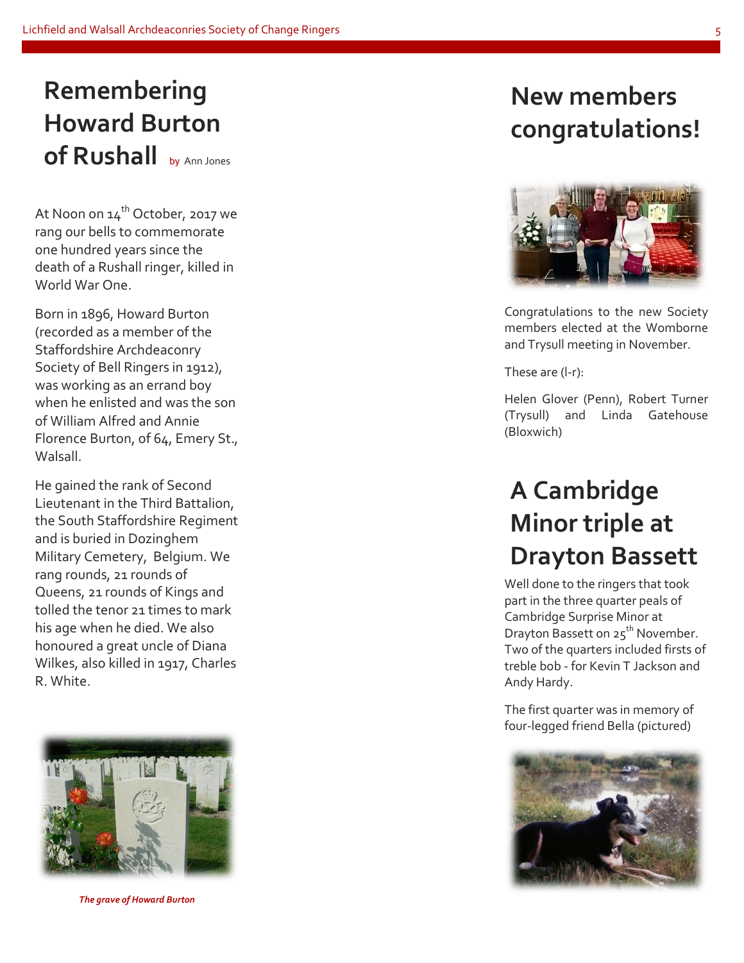#### **Remembering Howard Burton of Rushall** by Ann Jones

At Noon on  $14^{th}$  October, 2017 we rang our bells to commemorate one hundred years since the death of a Rushall ringer, killed in World War One.

Born in 1896, Howard Burton (recorded as a member of the Staffordshire Archdeaconry Society of Bell Ringers in 1912), was working as an errand boy when he enlisted and was the son of William Alfred and Annie Florence Burton, of 64, Emery St., Walsall.

He gained the rank of Second Lieutenant in the Third Battalion, the South Staffordshire Regiment and is buried in Dozinghem Military Cemetery, Belgium. We rang rounds, 21 rounds of Queens, 21 rounds of Kings and tolled the tenor 21 times to mark his age when he died. We also honoured a great uncle of Diana Wilkes, also killed in 1917, Charles R. White.



*The grave of Howard Burton*

#### **New members congratulations!**



Congratulations to the new Society members elected at the Womborne and Trysull meeting in November.

These are (l-r):

Helen Glover (Penn), Robert Turner (Trysull) and Linda Gatehouse (Bloxwich)

## **A Cambridge Minor triple at Drayton Bassett**

Well done to the ringers that took part in the three quarter peals of Cambridge Surprise Minor at Drayton Bassett on  $25^{\text{th}}$  November. Two of the quarters included firsts of treble bob - for Kevin T Jackson and Andy Hardy.

The first quarter was in memory of four-legged friend Bella (pictured)